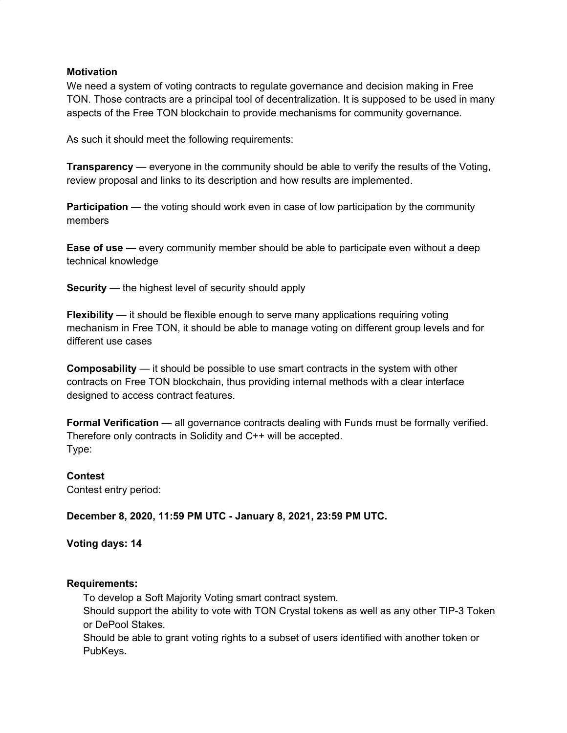## **Motivation**

We need a system of voting contracts to regulate governance and decision making in Free TON. Those contracts are a principal tool of decentralization. It is supposed to be used in many aspects of the Free TON blockchain to provide mechanisms for community governance.

As such it should meet the following requirements:

**Transparency** — everyone in the community should be able to verify the results of the Voting, review proposal and links to its description and how results are implemented.

**Participation** — the voting should work even in case of low participation by the community members

**Ease of use** — every community member should be able to participate even without a deep technical knowledge

**Security** — the highest level of security should apply

**Flexibility** — it should be flexible enough to serve many applications requiring voting mechanism in Free TON, it should be able to manage voting on different group levels and for different use cases

**Composability** — it should be possible to use smart contracts in the system with other contracts on Free TON blockchain, thus providing internal methods with a clear interface designed to access contract features.

**Formal Verification** — all governance contracts dealing with Funds must be formally verified. Therefore only contracts in Solidity and C++ will be accepted. Type:

## **Contest**

Contest entry period:

**December 8, 2020, 11:59 PM UTC - January 8, 2021, 23:59 PM UTC.**

**Voting days: 14**

## **Requirements:**

To develop a Soft Majority Voting smart contract system.

Should support the ability to vote with TON Crystal tokens as well as any other TIP-3 Token or DePool Stakes.

Should be able to grant voting rights to a subset of users identified with another token or PubKeys**.**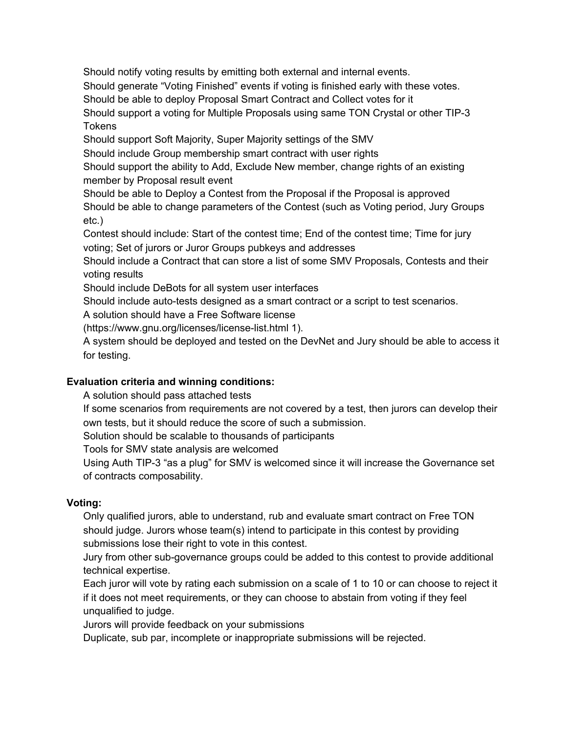Should notify voting results by emitting both external and internal events.

Should generate "Voting Finished" events if voting is finished early with these votes.

Should be able to deploy Proposal Smart Contract and Collect votes for it

Should support a voting for Multiple Proposals using same TON Crystal or other TIP-3 **Tokens** 

Should support Soft Majority, Super Majority settings of the SMV

Should include Group membership smart contract with user rights

Should support the ability to Add, Exclude New member, change rights of an existing member by Proposal result event

Should be able to Deploy a Contest from the Proposal if the Proposal is approved Should be able to change parameters of the Contest (such as Voting period, Jury Groups etc.)

Contest should include: Start of the contest time; End of the contest time; Time for jury voting; Set of jurors or Juror Groups pubkeys and addresses

Should include a Contract that can store a list of some SMV Proposals, Contests and their voting results

Should include DeBots for all system user interfaces

Should include auto-tests designed as a smart contract or a script to test scenarios.

A solution should have a Free Software license

(https://www.gnu.org/licenses/license-list.html 1).

A system should be deployed and tested on the DevNet and Jury should be able to access it for testing.

# **Evaluation criteria and winning conditions:**

A solution should pass attached tests

If some scenarios from requirements are not covered by a test, then jurors can develop their own tests, but it should reduce the score of such a submission.

Solution should be scalable to thousands of participants

Tools for SMV state analysis are welcomed

Using Auth TIP-3 "as a plug" for SMV is welcomed since it will increase the Governance set of contracts composability.

# **Voting:**

Only qualified jurors, able to understand, rub and evaluate smart contract on Free TON should judge. Jurors whose team(s) intend to participate in this contest by providing submissions lose their right to vote in this contest.

Jury from other sub-governance groups could be added to this contest to provide additional technical expertise.

Each juror will vote by rating each submission on a scale of 1 to 10 or can choose to reject it if it does not meet requirements, or they can choose to abstain from voting if they feel unqualified to judge.

Jurors will provide feedback on your submissions

Duplicate, sub par, incomplete or inappropriate submissions will be rejected.